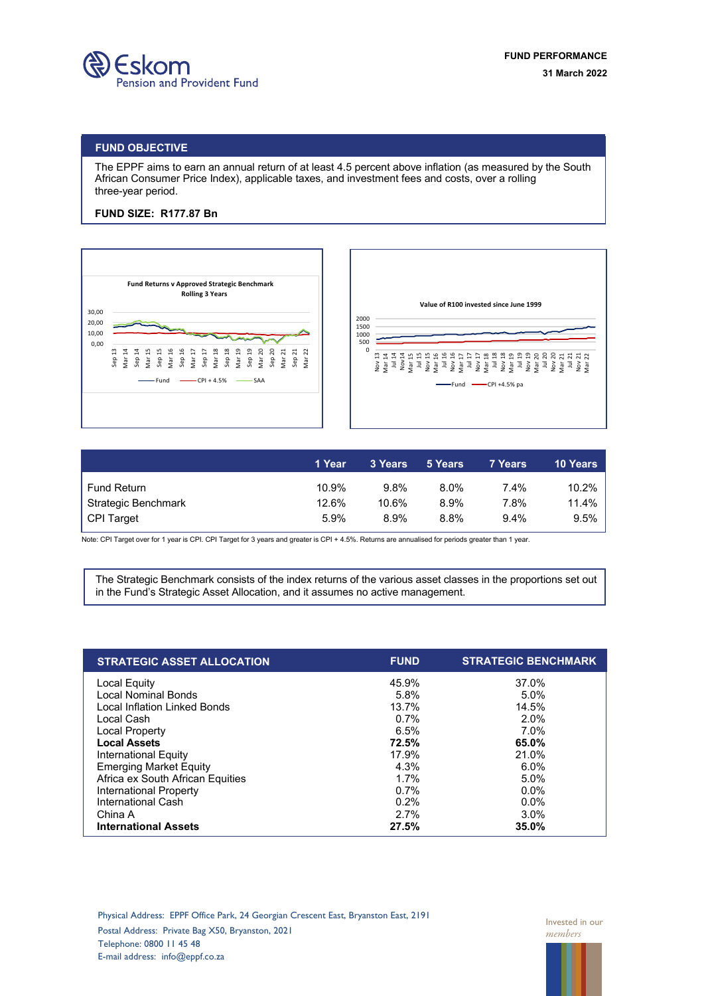

## **FUND OBJECTIVE**

The EPPF aims to earn an annual return of at least 4.5 percent above inflation (as measured by the South African Consumer Price Index), applicable taxes, and investment fees and costs, over a rolling three-year period.

## **FUND SIZE: R177.87 Bn**





|                     | '1 Year | 3 Years | 5 Years | 7 Years | <b>10 Years</b> |
|---------------------|---------|---------|---------|---------|-----------------|
| <b>Fund Return</b>  | 10.9%   | 9.8%    | 8.0%    | 7.4%    | 10.2%           |
| Strategic Benchmark | 12.6%   | 10.6%   | 8.9%    | 7.8%    | 11.4%           |
| CPI Target          | 5.9%    | 8.9%    | 8.8%    | $9.4\%$ | 9.5%            |

Note: CPI Target over for 1 year is CPI. CPI Target for 3 years and greater is CPI + 4.5%. Returns are annualised for periods greater than 1 year.

The Strategic Benchmark consists of the index returns of the various asset classes in the proportions set out in the Fund's Strategic Asset Allocation, and it assumes no active management.

| <b>STRATEGIC ASSET ALLOCATION</b>   | <b>FUND</b> | <b>STRATEGIC BENCHMARK</b> |
|-------------------------------------|-------------|----------------------------|
| Local Equity                        | 45.9%       | 37.0%                      |
| <b>Local Nominal Bonds</b>          | 5.8%        | 5.0%                       |
| <b>Local Inflation Linked Bonds</b> | 13.7%       | 14.5%                      |
| Local Cash                          | 0.7%        | 2.0%                       |
| Local Property                      | 6.5%        | $7.0\%$                    |
| <b>Local Assets</b>                 | 72.5%       | 65.0%                      |
| International Equity                | 17.9%       | 21.0%                      |
| <b>Emerging Market Equity</b>       | 4.3%        | 6.0%                       |
| Africa ex South African Equities    | 1.7%        | 5.0%                       |
| International Property              | 0.7%        | $0.0\%$                    |
| International Cash                  | 0.2%        | $0.0\%$                    |
| China A                             | 2.7%        | 3.0%                       |
| <b>International Assets</b>         | 27.5%       | 35.0%                      |

Physical Address: EPPF Office Park, 24 Georgian Crescent East, Bryanston East, 2191 Postal Address: Private Bag X50, Bryanston, 2021 Telephone: 0800 11 45 48 E-mail address: info@eppf.co.za

Invested in our *members*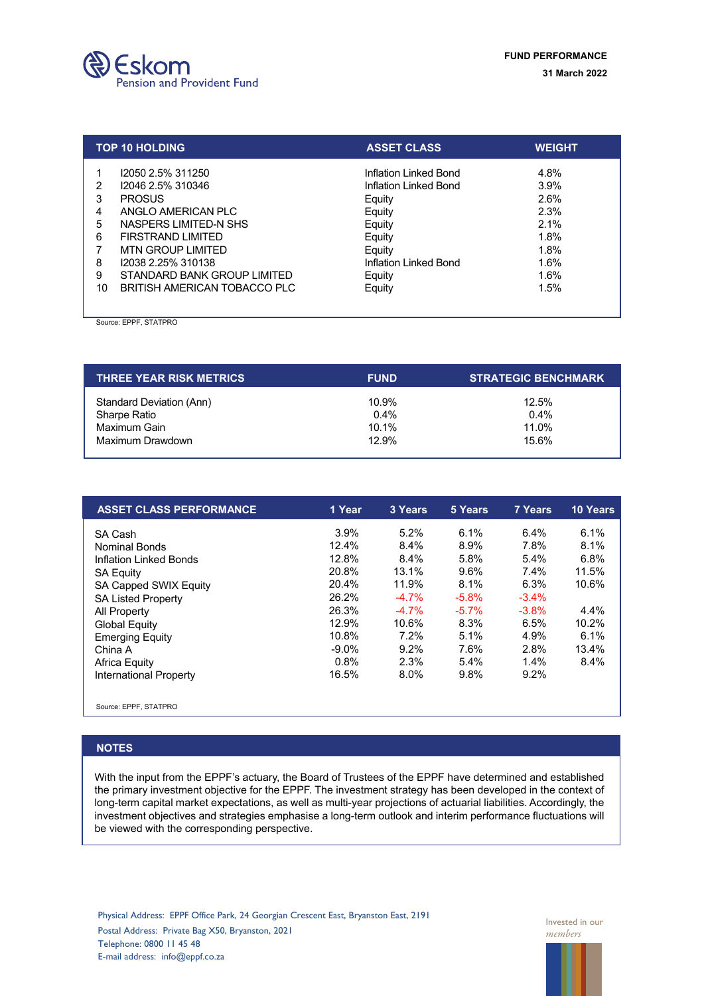

|                       | <b>TOP 10 HOLDING</b>                                                                                                                                                         | <b>ASSET CLASS</b>                                                                                                        | <b>WEIGHT</b>                                                |
|-----------------------|-------------------------------------------------------------------------------------------------------------------------------------------------------------------------------|---------------------------------------------------------------------------------------------------------------------------|--------------------------------------------------------------|
| 2<br>3<br>5<br>6<br>8 | 12050 2.5% 311250<br>12046 2.5% 310346<br><b>PROSUS</b><br>ANGLO AMERICAN PLC<br>NASPERS LIMITED-N SHS<br><b>FIRSTRAND LIMITED</b><br>MTN GROUP LIMITED<br>12038 2.25% 310138 | Inflation Linked Bond<br>Inflation Linked Bond<br>Equity<br>Equity<br>Equity<br>Equity<br>Equity<br>Inflation Linked Bond | 4.8%<br>3.9%<br>2.6%<br>2.3%<br>2.1%<br>1.8%<br>1.8%<br>1.6% |
| 9<br>10               | STANDARD BANK GROUP LIMITED<br>BRITISH AMERICAN TOBACCO PLC                                                                                                                   | Equity<br>Equity                                                                                                          | 1.6%<br>1.5%                                                 |

Source: EPPF, STATPRO

| <b>THREE YEAR RISK METRICS</b> | <b>FUND</b> | <b>STRATEGIC BENCHMARK</b> |  |  |
|--------------------------------|-------------|----------------------------|--|--|
| Standard Deviation (Ann)       | 10.9%       | 12.5%                      |  |  |
| Sharpe Ratio                   | $0.4\%$     | $0.4\%$                    |  |  |
| Maximum Gain                   | $10.1\%$    | 11.0%                      |  |  |
| Maximum Drawdown               | 12.9%       | 15.6%                      |  |  |

| <b>ASSET CLASS PERFORMANCE</b> | 1 Year   | 3 Years | 5 Years | 7 Years  | <b>10 Years</b> |
|--------------------------------|----------|---------|---------|----------|-----------------|
| SA Cash                        | 3.9%     | 5.2%    | 6.1%    | 6.4%     | 6.1%            |
| <b>Nominal Bonds</b>           | 12.4%    | 8.4%    | 8.9%    | 7.8%     | 8.1%            |
| Inflation Linked Bonds         | 12.8%    | 8.4%    | 5.8%    | 5.4%     | 6.8%            |
| <b>SA Equity</b>               | 20.8%    | 13.1%   | 9.6%    | $7.4\%$  | 11.5%           |
| SA Capped SWIX Equity          | 20.4%    | 11.9%   | 8.1%    | 6.3%     | 10.6%           |
| <b>SA Listed Property</b>      | 26.2%    | $-4.7%$ | $-5.8%$ | $-3.4\%$ |                 |
| All Property                   | 26.3%    | $-4.7%$ | $-5.7%$ | $-3.8%$  | 4.4%            |
| <b>Global Equity</b>           | 12.9%    | 10.6%   | 8.3%    | 6.5%     | 10.2%           |
| <b>Emerging Equity</b>         | 10.8%    | 7.2%    | 5.1%    | 4.9%     | 6.1%            |
| China A                        | $-9.0\%$ | 9.2%    | 7.6%    | 2.8%     | 13.4%           |
| <b>Africa Equity</b>           | 0.8%     | 2.3%    | 5.4%    | $1.4\%$  | 8.4%            |
| <b>International Property</b>  | 16.5%    | 8.0%    | 9.8%    | 9.2%     |                 |
| Source: EPPF, STATPRO          |          |         |         |          |                 |

## **NOTES**

With the input from the EPPF's actuary, the Board of Trustees of the EPPF have determined and established the primary investment objective for the EPPF. The investment strategy has been developed in the context of long-term capital market expectations, as well as multi-year projections of actuarial liabilities. Accordingly, the investment objectives and strategies emphasise a long-term outlook and interim performance fluctuations will be viewed with the corresponding perspective.

Invested in our *members*